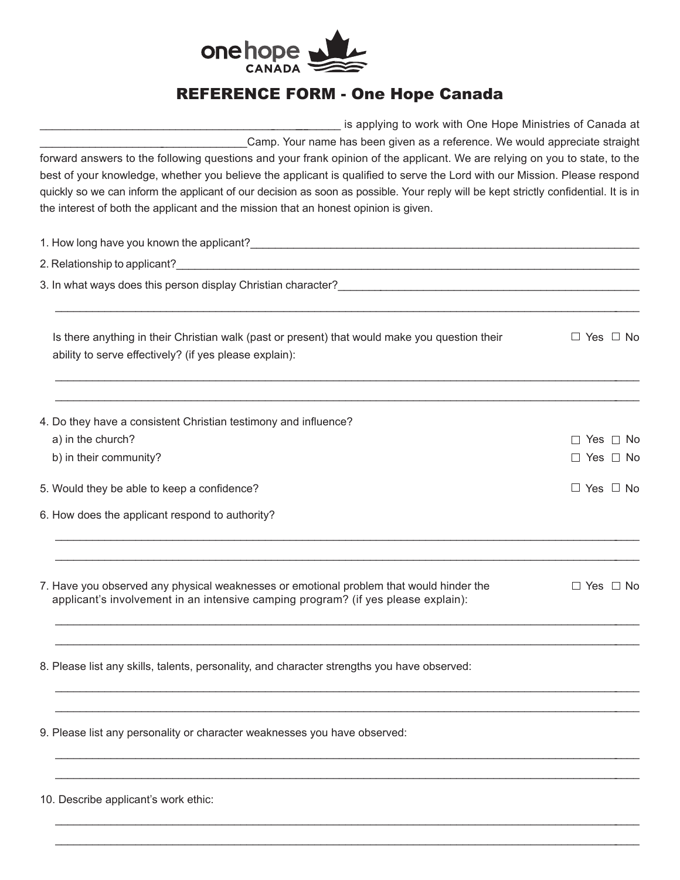

## REFERENCE FORM - One Hope Canada

| is applying to work with One Hope Ministries of Canada at                                                                                                                                                                                                                                                                                                                                                                                                                                                                                                            |  |                      |  |  |
|----------------------------------------------------------------------------------------------------------------------------------------------------------------------------------------------------------------------------------------------------------------------------------------------------------------------------------------------------------------------------------------------------------------------------------------------------------------------------------------------------------------------------------------------------------------------|--|----------------------|--|--|
| Camp. Your name has been given as a reference. We would appreciate straight<br>forward answers to the following questions and your frank opinion of the applicant. We are relying on you to state, to the<br>best of your knowledge, whether you believe the applicant is qualified to serve the Lord with our Mission. Please respond<br>quickly so we can inform the applicant of our decision as soon as possible. Your reply will be kept strictly confidential. It is in<br>the interest of both the applicant and the mission that an honest opinion is given. |  |                      |  |  |
|                                                                                                                                                                                                                                                                                                                                                                                                                                                                                                                                                                      |  |                      |  |  |
|                                                                                                                                                                                                                                                                                                                                                                                                                                                                                                                                                                      |  |                      |  |  |
| 3. In what ways does this person display Christian character? Contract and the contract of the contractor of the contractor of the contractor of the contractor of the contractor of the contractor of the contractor of the c                                                                                                                                                                                                                                                                                                                                       |  |                      |  |  |
| Is there anything in their Christian walk (past or present) that would make you question their<br>ability to serve effectively? (if yes please explain):                                                                                                                                                                                                                                                                                                                                                                                                             |  | $\Box$ Yes $\Box$ No |  |  |
| 4. Do they have a consistent Christian testimony and influence?                                                                                                                                                                                                                                                                                                                                                                                                                                                                                                      |  |                      |  |  |
| a) in the church?                                                                                                                                                                                                                                                                                                                                                                                                                                                                                                                                                    |  | $\Box$ Yes $\Box$ No |  |  |
| b) in their community?                                                                                                                                                                                                                                                                                                                                                                                                                                                                                                                                               |  | $\Box$ Yes $\Box$ No |  |  |
| 5. Would they be able to keep a confidence?                                                                                                                                                                                                                                                                                                                                                                                                                                                                                                                          |  | $\Box$ Yes $\Box$ No |  |  |
| 6. How does the applicant respond to authority?                                                                                                                                                                                                                                                                                                                                                                                                                                                                                                                      |  |                      |  |  |
| 7. Have you observed any physical weaknesses or emotional problem that would hinder the<br>applicant's involvement in an intensive camping program? (if yes please explain):                                                                                                                                                                                                                                                                                                                                                                                         |  | $\Box$ Yes $\Box$ No |  |  |
| 8. Please list any skills, talents, personality, and character strengths you have observed:                                                                                                                                                                                                                                                                                                                                                                                                                                                                          |  |                      |  |  |
| 9. Please list any personality or character weaknesses you have observed:                                                                                                                                                                                                                                                                                                                                                                                                                                                                                            |  |                      |  |  |
|                                                                                                                                                                                                                                                                                                                                                                                                                                                                                                                                                                      |  |                      |  |  |

\_\_\_\_\_\_\_\_\_\_\_\_\_\_\_\_\_\_\_\_\_\_\_\_\_\_\_\_\_\_\_\_\_\_\_\_\_\_\_\_\_\_\_\_\_\_\_\_\_\_\_\_\_\_\_\_\_\_\_\_\_\_\_\_\_\_\_\_\_\_\_\_\_\_\_\_\_\_\_\_\_\_\_\_\_\_\_\_\_\_\_\_\_\_\_ \_\_\_\_\_\_\_\_\_\_\_\_\_\_\_\_\_\_\_\_\_\_\_\_\_\_\_\_\_\_\_\_\_\_\_\_\_\_\_\_\_\_\_\_\_\_\_\_\_\_\_\_\_\_\_\_\_\_\_\_\_\_\_\_\_\_\_\_\_\_\_\_\_\_\_\_\_\_\_\_\_\_\_\_\_\_\_\_\_\_\_\_\_\_\_

10. Describe applicant's work ethic: